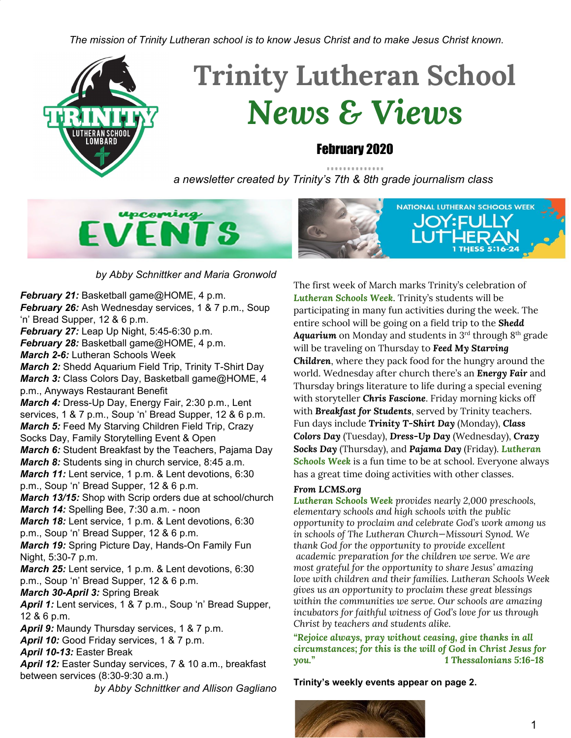*The mission of Trinity Lutheran school is to know Jesus Christ and to make Jesus Christ known.*



# **Trinity Lutheran School** *News & Views*

#### February 2020

*a newsletter created by Trinity's 7th & 8th grade journalism class*





#### *by Abby Schnittker and Maria Gronwold*

*February 21:* Basketball game@HOME, 4 p.m. *February 26:* Ash Wednesday services, 1 & 7 p.m., Soup 'n' Bread Supper, 12 & 6 p.m. *February 27:* Leap Up Night, 5:45-6:30 p.m. *February 28:* Basketball game@HOME, 4 p.m. *March 2-6:* Lutheran Schools Week *March 2:* Shedd Aquarium Field Trip, Trinity T-Shirt Day *March 3:* Class Colors Day, Basketball game@HOME, 4 p.m., Anyways Restaurant Benefit *March 4:* Dress-Up Day, Energy Fair, 2:30 p.m., Lent services, 1 & 7 p.m., Soup 'n' Bread Supper, 12 & 6 p.m. *March 5:* Feed My Starving Children Field Trip, Crazy Socks Day, Family Storytelling Event & Open *March 6:* Student Breakfast by the Teachers, Pajama Day *March 8:* Students sing in church service, 8:45 a.m. *March 11:* Lent service, 1 p.m. & Lent devotions, 6:30 p.m., Soup 'n' Bread Supper, 12 & 6 p.m. *March 13/15:* Shop with Scrip orders due at school/church *March 14:* Spelling Bee, 7:30 a.m. - noon *March 18:* Lent service, 1 p.m. & Lent devotions, 6:30 p.m., Soup 'n' Bread Supper, 12 & 6 p.m. *March 19:* Spring Picture Day, Hands-On Family Fun Night, 5:30-7 p.m. *March 25:* Lent service, 1 p.m. & Lent devotions, 6:30 p.m., Soup 'n' Bread Supper, 12 & 6 p.m. *March 30-April 3:* Spring Break *April 1:* Lent services, 1 & 7 p.m., Soup 'n' Bread Supper, 12 & 6 p.m. April 9: Maundy Thursday services, 1 & 7 p.m. *April 10:* Good Friday services, 1 & 7 p.m. *April 10-13:* Easter Break *April 12:* Easter Sunday services, 7 & 10 a.m., breakfast between services (8:30-9:30 a.m.) *by Abby Schnittker and Allison Gagliano* The first week of March marks Trinity's celebration of *Lutheran Schools Week*. Trinity's students will be participating in many fun activities during the week. The entire school will be going on a field trip to the *Shedd* **Aquarium** on Monday and students in 3<sup>rd</sup> through 8<sup>th</sup> grade will be traveling on Thursday to *Feed My Starving Children*, where they pack food for the hungry around the world. Wednesday after church there's an *Energy Fair* and Thursday brings literature to life during a special evening with storyteller *Chris Fascione*. Friday morning kicks off with *Breakfast for Students*, served by Trinity teachers. Fun days include *Trinity T-Shirt Day* (Monday), *Class Colors Day* (Tuesday), *Dress-Up Day* (Wednesday), *Crazy Socks Day* (Thursday), and *Pajama Day* (Friday). *Lutheran Schools Week* is a fun time to be at school. Everyone always has a great time doing activities with other classes.

#### *From LCMS.org*

*Lutheran Schools Week provides nearly 2,000 preschools, elementary schools and high schools with the public opportunity to proclaim and celebrate God's work among us in schools of The Lutheran Church—Missouri Synod. We thank God for the opportunity to provide excellent academic preparation for the children we serve. We are most grateful for the opportunity to share Jesus' amazing love with children and their families. Lutheran Schools Week gives us an opportunity to proclaim these great blessings within the communities we serve. Our schools are amazing incubators for faithful witness of God's love for us through Christ by teachers and students alike.*

*"Rejoice always, pray without ceasing, give thanks in all circumstances; for this is the will of God in Christ Jesus for you." 1 Thessalonians 5:16-18*

**Trinity's weekly events appear on page 2.**

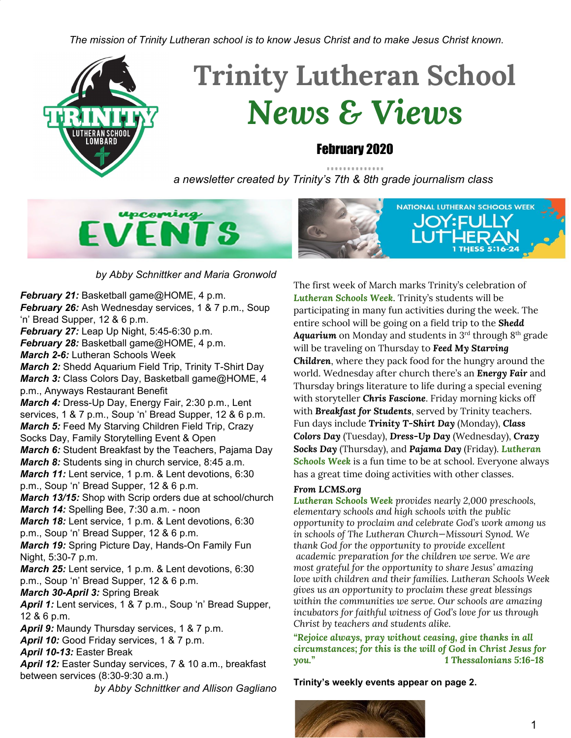## **Ash Wednesday** by Lucia Giurdanella and Maria Gronwold

Ash Wednesday is the kickoff to Lent. The reason we call it Ash Wednesday is because the pastor puts ashes on your forehead, usually in the shape of a cross. In Genesis 3, God says, "...you return to the ground, since from it you were taken; for dust you are and to dust you will return." The Pastor says, "you are man, you are dust, and to dust you shall return," while putting the ashes on the foreheads of congregation members. The ashes are a representation of our sin and are made from a mixture of old, burnt palm branches (often from the previous year's Palm Sunday service) and oil.

## The Season of Lent at Trinity by Allison Gagliano and Jordyn Mardini

b º SBSZI ÚOBI B-SÓGGS VÍ B1V28 1º SB SEÓSTEZ FRZÍVÓ SO VAR SZERLÓGS SOEGO ZET BOGB-SÓGGYAS SO SA NESTSEGEULÓSZEVŐ SO GASULD Ži 80 USM 12 1680 SS O 114 ŽÓB ŽO U14 ŽÓ CHE 60 UE USSEŽE 1816O & SÓ BAB SI EŽOŽA 10 11ŽÁ SNI BO ALECO SSUB ENSÓB 80 SO oë 1/263 assults º éXiÒ Ži & óthe é/Si & shoké & shoké & shoké & shoké shoké shoké shoké shoké shoké shoké sho **>&@O** 

ÉÉOGŠá£¤ £ÉŐŐ £¤IŐDŠïï£ÏŸ¤Î 1Ÿ ££QŒ£Ïï£Ï¤é£å 1™££NWÄY£ ŐIŐ eNŠÏŸ¤àŐôarŠÏŸ¤ĩ壊Ÿ¤àòââ£åel¥

- S SEÓSTEZÍ ASSOBEROS 8 1º SS SEÓSTEZÍ 8 SÁMASZÁGA SUGARÓ ARÓDÓLÓG SUGADAD  $\bullet$
- S SEÓSTEZÍ ABB ZE O 248 8º ÖÉ O 8 SÉNYESZÉGBEK ADBAD ARD SZÍZÉGÓLLÓBK ADBAD A D  $\bullet$
- S SEÓSTLÁ HE ZO 8>BBEX 8B 8º 06º 8 SEM STABLAND HESMULÓ PARTEGEN HEO SÁPARÓLLÓK CENNOLLE  $\bullet$
- S SEÓSTEZT ES ærlíges 8º öé º 8 Sánt-Szzics & Danie and Szizzinál LÓ & Canad &
- BŽOĆEt®ºöeia8 aeéŃaF88 1⁄m/QS8Sem +SSZIGB& \$D& eiDe9  $\bullet$
- ALLES ELZ & a ELB-88° 06° 8 SEM SEZOB & DRED &  $\bullet$
- ŽidsátlöÓCZ as aelías?8 8 144ÓSS sán kSZADZAÓ es Zidsán esZE ZidzaEz@ZAÓ eSÓSS SS tÓ as Zidsán hASZAB-ZAÓ es

### $75.1.7 <$ 16: ((./<  $(9(176$

**DVFKXUFK VEKRRO** 

**SUNDAYS: 9 a.m. Church.** followed by Adult Bible Class & **Sunday School MONDAYS: 3 p.m. Garden Club,** 7 p.m. Church **TUESDAYS: Hot Lunch, 3 p.m.** Cheer/Dance, 3 p.m. Basketball **(THERE IS NO CHEER/DANCE) PRACTICE ON BASKETBALL GAME DAYS)** 

WEDNESDAYS: 8:40 a.m. Chapel, 8:45 a.m. Adult Bible Study **FRIDAYS: 8:15 a.m. Handbells** 

# **! VN WO'. ED'-VN-áCWON L DÃ**

Congratulations to Mrs. Perez on becoming a first-time grandmother.

Isabella Grace made her appearance in the world on February 18, blessing her parents, Dion and Brianna, with their first child. May God richly bless this little girl and her loving family.

### **Thursday, March 5**

### **Trinity welcomes**

**Master Storyteller Chris Fascione** 

for a free **Storytelling Open House** 

RSVP 630.627.5601

for complimentary dinner at 5:45 p.m. or just arrive by 6:30 p.m. for the "man of 100 voices"